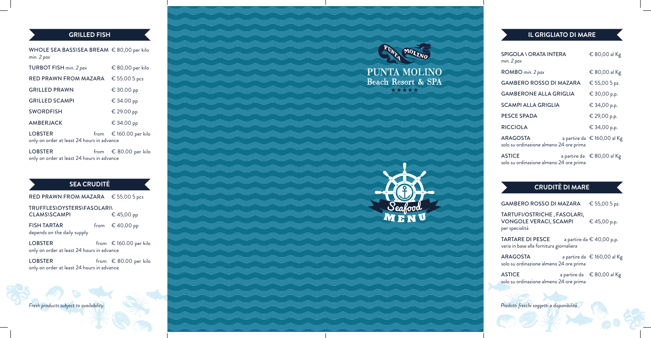| <b>SPIGOLA \ ORATA INTERA</b><br>min. 2 pax                | € 80,00 al Kg               |
|------------------------------------------------------------|-----------------------------|
| ROMBO min. 2 pax                                           | € 80,00 al Kg               |
| <b>GAMBERO ROSSO DI MAZARA</b>                             | € 55,00 5 pz.               |
| <b>GAMBERONE ALLA GRIGLIA</b>                              | € 30,00 p.p.                |
| SCAMPI ALLA GRIGLIA                                        | € 34,00 p.p.                |
| <b>PESCE SPADA</b>                                         | € 29,00 p.p.                |
| <b>RICCIOLA</b>                                            | € 34,00 p.p.                |
| <b>ARAGOSTA</b><br>solo su ordinazione almeno 24 ore prima | a partire da € 160,00 al Kg |
| <b>ASTICE</b><br>solo su ordinazione almeno 24 ore prima   | a partire da € 80,00 al Kg  |

**TARTARE DI PESCE** a partire da  $\in$  40,00 p.p. varia in base alla fornitura giornaliera

 $\overline{A}$ STICE a partire da  $\in$  80,00 al Kg solo su ordinazione almeno 24 ore prima

| <b>GAMBERO ROSSO DI MAZARA</b> | € 55,00 5 pz. |
|--------------------------------|---------------|
|--------------------------------|---------------|

TARTUFI/OSTRICHE , FASOLARI, VONGOLE VERACI, SCAMPI  $\in$  45,00 p.p. per specialità

ARAGOSTA a partire da € 160,00 al Kg solo su ordinazione almeno 24 ore prima

RED PRAWN FROM MAZARA € 55.00 5 pcs TRUFFLES\OYSTERS\FASOLARI\

*Fresh products subject to availability. Prodotti freschi soggetti a disponibilità*



WHOLE SEA BASS\SEA BREAM € 80,00 per kilo *min. 2 pax*

| TURBOT FISH min. 2 pax                                       | € 80,00 per kilo                |
|--------------------------------------------------------------|---------------------------------|
| <b>RED PRAWN FROM MAZARA</b>                                 | € 55.00 5 pcs                   |
| <b>GRILLED PRAWN</b>                                         | € 30.00 рр                      |
| <b>GRILLED SCAMPI</b>                                        | € 34.00 рр                      |
| <b>SWORDFISH</b>                                             | € 29.00 pp                      |
| <b>AMBERJACK</b>                                             | € 34.00 рр                      |
| <b>LOBSTER</b><br>only on order at least 24 hours in advance | from $\epsilon$ 160.00 per kilo |

LOBSTER from € 80.00 per kilo only on order at least 24 hours in advance

| <b>CLAMS\SCAMPI</b>         | € 45,00 pp               |
|-----------------------------|--------------------------|
| <b>FISH TARTAR</b>          | from $\epsilon$ 40,00 pp |
| depends on the daily supply |                          |

LOBSTER from € 160.00 per kilo only on order at least 24 hours in advance

### LOBSTER from € 80.00 per kilo only on order at least 24 hours in advance

PUNTA MOLINO Beach Resort & SPA



## **GRILLED FISH IL GRIGLIATO DI MARE**